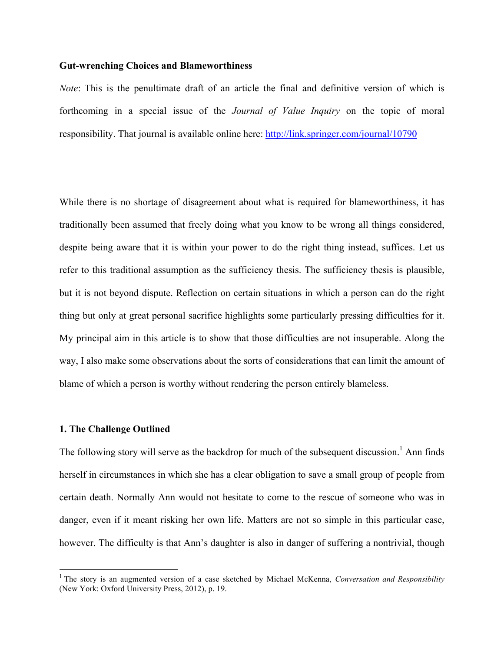## **Gut-wrenching Choices and Blameworthiness**

*Note*: This is the penultimate draft of an article the final and definitive version of which is forthcoming in a special issue of the *Journal of Value Inquiry* on the topic of moral responsibility. That journal is available online here: http://link.springer.com/journal/10790

While there is no shortage of disagreement about what is required for blameworthiness, it has traditionally been assumed that freely doing what you know to be wrong all things considered, despite being aware that it is within your power to do the right thing instead, suffices. Let us refer to this traditional assumption as the sufficiency thesis. The sufficiency thesis is plausible, but it is not beyond dispute. Reflection on certain situations in which a person can do the right thing but only at great personal sacrifice highlights some particularly pressing difficulties for it. My principal aim in this article is to show that those difficulties are not insuperable. Along the way, I also make some observations about the sorts of considerations that can limit the amount of blame of which a person is worthy without rendering the person entirely blameless.

#### **1. The Challenge Outlined**

The following story will serve as the backdrop for much of the subsequent discussion.<sup>1</sup> Ann finds herself in circumstances in which she has a clear obligation to save a small group of people from certain death. Normally Ann would not hesitate to come to the rescue of someone who was in danger, even if it meant risking her own life. Matters are not so simple in this particular case, however. The difficulty is that Ann's daughter is also in danger of suffering a nontrivial, though

<sup>&</sup>lt;sup>1</sup> The story is an augmented version of a case sketched by Michael McKenna, *Conversation and Responsibility* (New York: Oxford University Press, 2012), p. 19.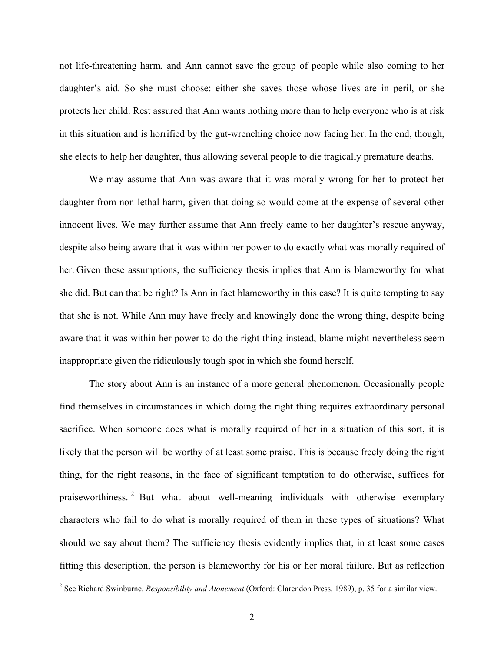not life-threatening harm, and Ann cannot save the group of people while also coming to her daughter's aid. So she must choose: either she saves those whose lives are in peril, or she protects her child. Rest assured that Ann wants nothing more than to help everyone who is at risk in this situation and is horrified by the gut-wrenching choice now facing her. In the end, though, she elects to help her daughter, thus allowing several people to die tragically premature deaths.

We may assume that Ann was aware that it was morally wrong for her to protect her daughter from non-lethal harm, given that doing so would come at the expense of several other innocent lives. We may further assume that Ann freely came to her daughter's rescue anyway, despite also being aware that it was within her power to do exactly what was morally required of her. Given these assumptions, the sufficiency thesis implies that Ann is blameworthy for what she did. But can that be right? Is Ann in fact blameworthy in this case? It is quite tempting to say that she is not. While Ann may have freely and knowingly done the wrong thing, despite being aware that it was within her power to do the right thing instead, blame might nevertheless seem inappropriate given the ridiculously tough spot in which she found herself.

The story about Ann is an instance of a more general phenomenon. Occasionally people find themselves in circumstances in which doing the right thing requires extraordinary personal sacrifice. When someone does what is morally required of her in a situation of this sort, it is likely that the person will be worthy of at least some praise. This is because freely doing the right thing, for the right reasons, in the face of significant temptation to do otherwise, suffices for praiseworthiness. <sup>2</sup> But what about well-meaning individuals with otherwise exemplary characters who fail to do what is morally required of them in these types of situations? What should we say about them? The sufficiency thesis evidently implies that, in at least some cases fitting this description, the person is blameworthy for his or her moral failure. But as reflection

 <sup>2</sup> See Richard Swinburne, *Responsibility and Atonement* (Oxford: Clarendon Press, 1989), p. 35 for a similar view.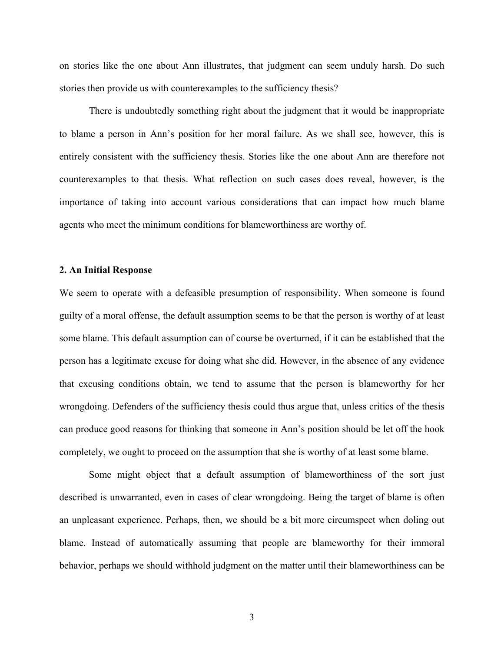on stories like the one about Ann illustrates, that judgment can seem unduly harsh. Do such stories then provide us with counterexamples to the sufficiency thesis?

There is undoubtedly something right about the judgment that it would be inappropriate to blame a person in Ann's position for her moral failure. As we shall see, however, this is entirely consistent with the sufficiency thesis. Stories like the one about Ann are therefore not counterexamples to that thesis. What reflection on such cases does reveal, however, is the importance of taking into account various considerations that can impact how much blame agents who meet the minimum conditions for blameworthiness are worthy of.

# **2. An Initial Response**

We seem to operate with a defeasible presumption of responsibility. When someone is found guilty of a moral offense, the default assumption seems to be that the person is worthy of at least some blame. This default assumption can of course be overturned, if it can be established that the person has a legitimate excuse for doing what she did. However, in the absence of any evidence that excusing conditions obtain, we tend to assume that the person is blameworthy for her wrongdoing. Defenders of the sufficiency thesis could thus argue that, unless critics of the thesis can produce good reasons for thinking that someone in Ann's position should be let off the hook completely, we ought to proceed on the assumption that she is worthy of at least some blame.

Some might object that a default assumption of blameworthiness of the sort just described is unwarranted, even in cases of clear wrongdoing. Being the target of blame is often an unpleasant experience. Perhaps, then, we should be a bit more circumspect when doling out blame. Instead of automatically assuming that people are blameworthy for their immoral behavior, perhaps we should withhold judgment on the matter until their blameworthiness can be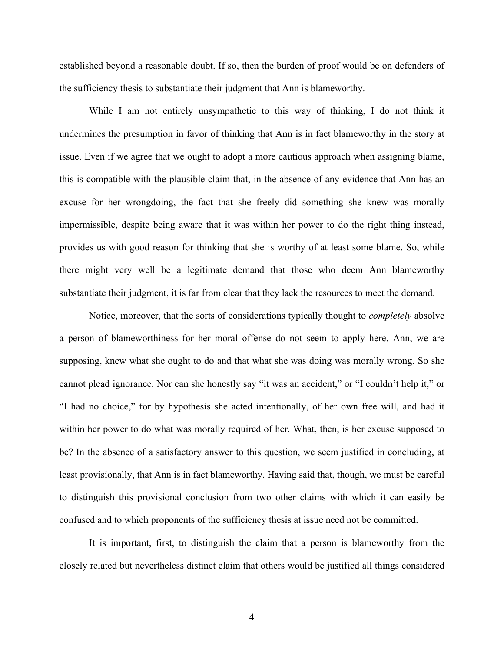established beyond a reasonable doubt. If so, then the burden of proof would be on defenders of the sufficiency thesis to substantiate their judgment that Ann is blameworthy.

While I am not entirely unsympathetic to this way of thinking, I do not think it undermines the presumption in favor of thinking that Ann is in fact blameworthy in the story at issue. Even if we agree that we ought to adopt a more cautious approach when assigning blame, this is compatible with the plausible claim that, in the absence of any evidence that Ann has an excuse for her wrongdoing, the fact that she freely did something she knew was morally impermissible, despite being aware that it was within her power to do the right thing instead, provides us with good reason for thinking that she is worthy of at least some blame. So, while there might very well be a legitimate demand that those who deem Ann blameworthy substantiate their judgment, it is far from clear that they lack the resources to meet the demand.

Notice, moreover, that the sorts of considerations typically thought to *completely* absolve a person of blameworthiness for her moral offense do not seem to apply here. Ann, we are supposing, knew what she ought to do and that what she was doing was morally wrong. So she cannot plead ignorance. Nor can she honestly say "it was an accident," or "I couldn't help it," or "I had no choice," for by hypothesis she acted intentionally, of her own free will, and had it within her power to do what was morally required of her. What, then, is her excuse supposed to be? In the absence of a satisfactory answer to this question, we seem justified in concluding, at least provisionally, that Ann is in fact blameworthy. Having said that, though, we must be careful to distinguish this provisional conclusion from two other claims with which it can easily be confused and to which proponents of the sufficiency thesis at issue need not be committed.

It is important, first, to distinguish the claim that a person is blameworthy from the closely related but nevertheless distinct claim that others would be justified all things considered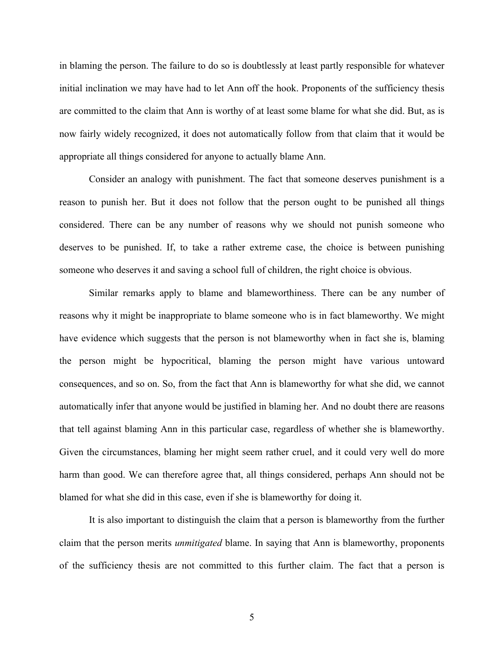in blaming the person. The failure to do so is doubtlessly at least partly responsible for whatever initial inclination we may have had to let Ann off the hook. Proponents of the sufficiency thesis are committed to the claim that Ann is worthy of at least some blame for what she did. But, as is now fairly widely recognized, it does not automatically follow from that claim that it would be appropriate all things considered for anyone to actually blame Ann.

Consider an analogy with punishment. The fact that someone deserves punishment is a reason to punish her. But it does not follow that the person ought to be punished all things considered. There can be any number of reasons why we should not punish someone who deserves to be punished. If, to take a rather extreme case, the choice is between punishing someone who deserves it and saving a school full of children, the right choice is obvious.

Similar remarks apply to blame and blameworthiness. There can be any number of reasons why it might be inappropriate to blame someone who is in fact blameworthy. We might have evidence which suggests that the person is not blameworthy when in fact she is, blaming the person might be hypocritical, blaming the person might have various untoward consequences, and so on. So, from the fact that Ann is blameworthy for what she did, we cannot automatically infer that anyone would be justified in blaming her. And no doubt there are reasons that tell against blaming Ann in this particular case, regardless of whether she is blameworthy. Given the circumstances, blaming her might seem rather cruel, and it could very well do more harm than good. We can therefore agree that, all things considered, perhaps Ann should not be blamed for what she did in this case, even if she is blameworthy for doing it.

It is also important to distinguish the claim that a person is blameworthy from the further claim that the person merits *unmitigated* blame. In saying that Ann is blameworthy, proponents of the sufficiency thesis are not committed to this further claim. The fact that a person is

5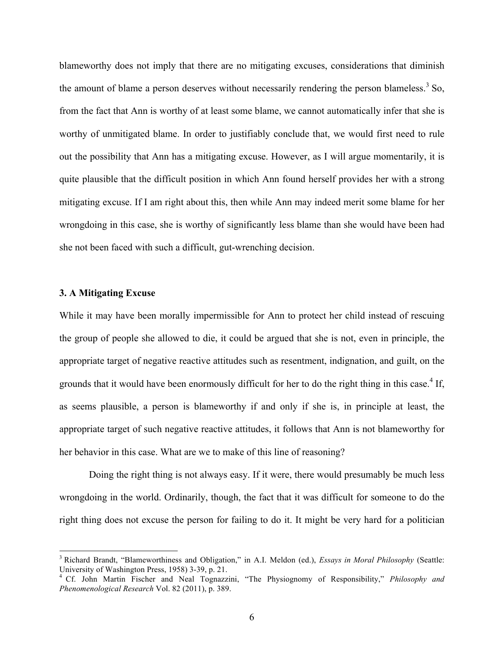blameworthy does not imply that there are no mitigating excuses, considerations that diminish the amount of blame a person deserves without necessarily rendering the person blameless.<sup>3</sup> So, from the fact that Ann is worthy of at least some blame, we cannot automatically infer that she is worthy of unmitigated blame. In order to justifiably conclude that, we would first need to rule out the possibility that Ann has a mitigating excuse. However, as I will argue momentarily, it is quite plausible that the difficult position in which Ann found herself provides her with a strong mitigating excuse. If I am right about this, then while Ann may indeed merit some blame for her wrongdoing in this case, she is worthy of significantly less blame than she would have been had she not been faced with such a difficult, gut-wrenching decision.

# **3. A Mitigating Excuse**

While it may have been morally impermissible for Ann to protect her child instead of rescuing the group of people she allowed to die, it could be argued that she is not, even in principle, the appropriate target of negative reactive attitudes such as resentment, indignation, and guilt, on the grounds that it would have been enormously difficult for her to do the right thing in this case.<sup>4</sup> If, as seems plausible, a person is blameworthy if and only if she is, in principle at least, the appropriate target of such negative reactive attitudes, it follows that Ann is not blameworthy for her behavior in this case. What are we to make of this line of reasoning?

Doing the right thing is not always easy. If it were, there would presumably be much less wrongdoing in the world. Ordinarily, though, the fact that it was difficult for someone to do the right thing does not excuse the person for failing to do it. It might be very hard for a politician

 <sup>3</sup> Richard Brandt, "Blameworthiness and Obligation," in A.I. Meldon (ed.), *Essays in Moral Philosophy* (Seattle: University of Washington Press, 1958) 3-39, p. 21. <sup>4</sup> Cf. John Martin Fischer and Neal Tognazzini, "The Physiognomy of Responsibility," *Philosophy and* 

*Phenomenological Research* Vol. 82 (2011), p. 389.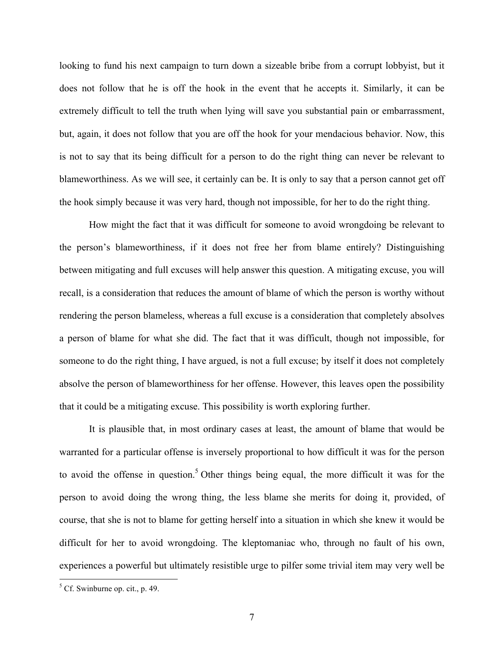looking to fund his next campaign to turn down a sizeable bribe from a corrupt lobbyist, but it does not follow that he is off the hook in the event that he accepts it. Similarly, it can be extremely difficult to tell the truth when lying will save you substantial pain or embarrassment, but, again, it does not follow that you are off the hook for your mendacious behavior. Now, this is not to say that its being difficult for a person to do the right thing can never be relevant to blameworthiness. As we will see, it certainly can be. It is only to say that a person cannot get off the hook simply because it was very hard, though not impossible, for her to do the right thing.

How might the fact that it was difficult for someone to avoid wrongdoing be relevant to the person's blameworthiness, if it does not free her from blame entirely? Distinguishing between mitigating and full excuses will help answer this question. A mitigating excuse, you will recall, is a consideration that reduces the amount of blame of which the person is worthy without rendering the person blameless, whereas a full excuse is a consideration that completely absolves a person of blame for what she did. The fact that it was difficult, though not impossible, for someone to do the right thing, I have argued, is not a full excuse; by itself it does not completely absolve the person of blameworthiness for her offense. However, this leaves open the possibility that it could be a mitigating excuse. This possibility is worth exploring further.

It is plausible that, in most ordinary cases at least, the amount of blame that would be warranted for a particular offense is inversely proportional to how difficult it was for the person to avoid the offense in question.<sup>5</sup> Other things being equal, the more difficult it was for the person to avoid doing the wrong thing, the less blame she merits for doing it, provided, of course, that she is not to blame for getting herself into a situation in which she knew it would be difficult for her to avoid wrongdoing. The kleptomaniac who, through no fault of his own, experiences a powerful but ultimately resistible urge to pilfer some trivial item may very well be

 $<sup>5</sup>$  Cf. Swinburne op. cit., p. 49.</sup>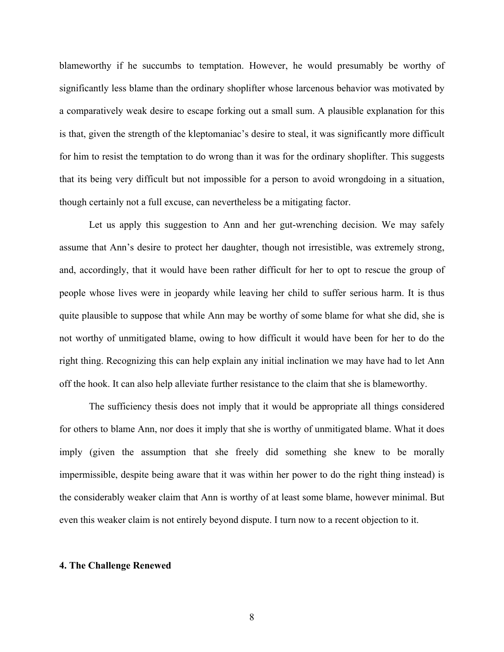blameworthy if he succumbs to temptation. However, he would presumably be worthy of significantly less blame than the ordinary shoplifter whose larcenous behavior was motivated by a comparatively weak desire to escape forking out a small sum. A plausible explanation for this is that, given the strength of the kleptomaniac's desire to steal, it was significantly more difficult for him to resist the temptation to do wrong than it was for the ordinary shoplifter. This suggests that its being very difficult but not impossible for a person to avoid wrongdoing in a situation, though certainly not a full excuse, can nevertheless be a mitigating factor.

Let us apply this suggestion to Ann and her gut-wrenching decision. We may safely assume that Ann's desire to protect her daughter, though not irresistible, was extremely strong, and, accordingly, that it would have been rather difficult for her to opt to rescue the group of people whose lives were in jeopardy while leaving her child to suffer serious harm. It is thus quite plausible to suppose that while Ann may be worthy of some blame for what she did, she is not worthy of unmitigated blame, owing to how difficult it would have been for her to do the right thing. Recognizing this can help explain any initial inclination we may have had to let Ann off the hook. It can also help alleviate further resistance to the claim that she is blameworthy.

The sufficiency thesis does not imply that it would be appropriate all things considered for others to blame Ann, nor does it imply that she is worthy of unmitigated blame. What it does imply (given the assumption that she freely did something she knew to be morally impermissible, despite being aware that it was within her power to do the right thing instead) is the considerably weaker claim that Ann is worthy of at least some blame, however minimal. But even this weaker claim is not entirely beyond dispute. I turn now to a recent objection to it.

#### **4. The Challenge Renewed**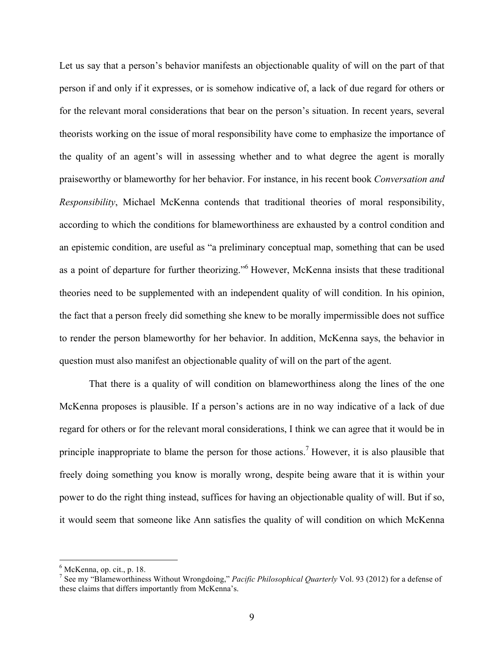Let us say that a person's behavior manifests an objectionable quality of will on the part of that person if and only if it expresses, or is somehow indicative of, a lack of due regard for others or for the relevant moral considerations that bear on the person's situation. In recent years, several theorists working on the issue of moral responsibility have come to emphasize the importance of the quality of an agent's will in assessing whether and to what degree the agent is morally praiseworthy or blameworthy for her behavior. For instance, in his recent book *Conversation and Responsibility*, Michael McKenna contends that traditional theories of moral responsibility, according to which the conditions for blameworthiness are exhausted by a control condition and an epistemic condition, are useful as "a preliminary conceptual map, something that can be used as a point of departure for further theorizing." However, McKenna insists that these traditional theories need to be supplemented with an independent quality of will condition. In his opinion, the fact that a person freely did something she knew to be morally impermissible does not suffice to render the person blameworthy for her behavior. In addition, McKenna says, the behavior in question must also manifest an objectionable quality of will on the part of the agent.

That there is a quality of will condition on blameworthiness along the lines of the one McKenna proposes is plausible. If a person's actions are in no way indicative of a lack of due regard for others or for the relevant moral considerations, I think we can agree that it would be in principle inappropriate to blame the person for those actions.<sup>7</sup> However, it is also plausible that freely doing something you know is morally wrong, despite being aware that it is within your power to do the right thing instead, suffices for having an objectionable quality of will. But if so, it would seem that someone like Ann satisfies the quality of will condition on which McKenna

 $6$  McKenna, op. cit., p. 18.

<sup>7</sup> See my "Blameworthiness Without Wrongdoing," *Pacific Philosophical Quarterly* Vol. 93 (2012) for a defense of these claims that differs importantly from McKenna's.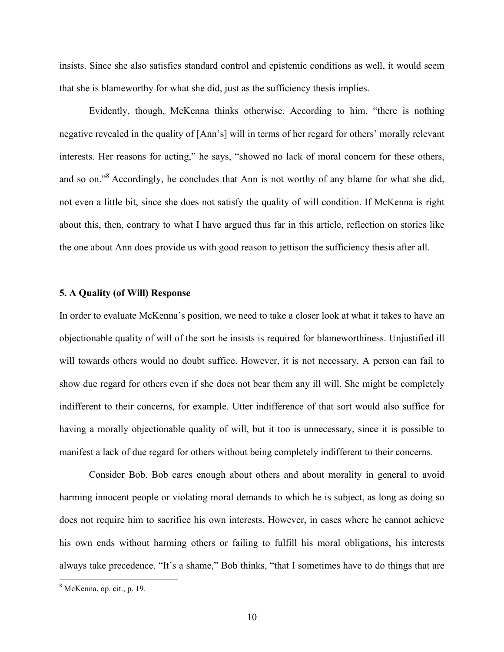insists. Since she also satisfies standard control and epistemic conditions as well, it would seem that she is blameworthy for what she did, just as the sufficiency thesis implies.

Evidently, though, McKenna thinks otherwise. According to him, "there is nothing negative revealed in the quality of [Ann's] will in terms of her regard for others' morally relevant interests. Her reasons for acting," he says, "showed no lack of moral concern for these others, and so on."<sup>8</sup> Accordingly, he concludes that Ann is not worthy of any blame for what she did, not even a little bit, since she does not satisfy the quality of will condition. If McKenna is right about this, then, contrary to what I have argued thus far in this article, reflection on stories like the one about Ann does provide us with good reason to jettison the sufficiency thesis after all.

#### **5. A Quality (of Will) Response**

In order to evaluate McKenna's position, we need to take a closer look at what it takes to have an objectionable quality of will of the sort he insists is required for blameworthiness. Unjustified ill will towards others would no doubt suffice. However, it is not necessary. A person can fail to show due regard for others even if she does not bear them any ill will. She might be completely indifferent to their concerns, for example. Utter indifference of that sort would also suffice for having a morally objectionable quality of will, but it too is unnecessary, since it is possible to manifest a lack of due regard for others without being completely indifferent to their concerns.

Consider Bob. Bob cares enough about others and about morality in general to avoid harming innocent people or violating moral demands to which he is subject, as long as doing so does not require him to sacrifice his own interests. However, in cases where he cannot achieve his own ends without harming others or failing to fulfill his moral obligations, his interests always take precedence. "It's a shame," Bob thinks, "that I sometimes have to do things that are

 <sup>8</sup> McKenna, op. cit., p. 19.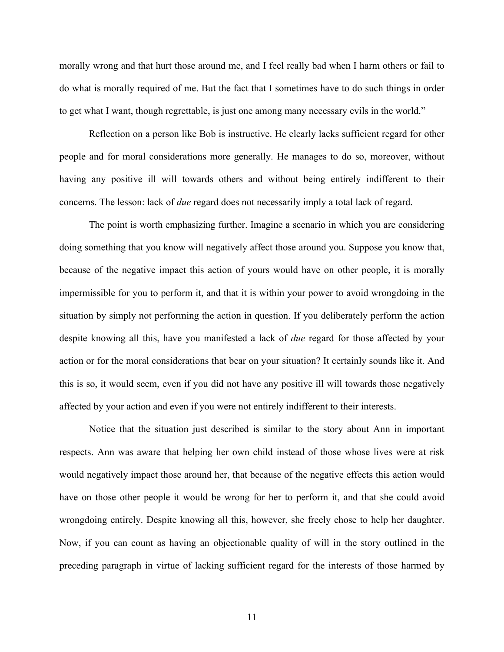morally wrong and that hurt those around me, and I feel really bad when I harm others or fail to do what is morally required of me. But the fact that I sometimes have to do such things in order to get what I want, though regrettable, is just one among many necessary evils in the world."

Reflection on a person like Bob is instructive. He clearly lacks sufficient regard for other people and for moral considerations more generally. He manages to do so, moreover, without having any positive ill will towards others and without being entirely indifferent to their concerns. The lesson: lack of *due* regard does not necessarily imply a total lack of regard.

The point is worth emphasizing further. Imagine a scenario in which you are considering doing something that you know will negatively affect those around you. Suppose you know that, because of the negative impact this action of yours would have on other people, it is morally impermissible for you to perform it, and that it is within your power to avoid wrongdoing in the situation by simply not performing the action in question. If you deliberately perform the action despite knowing all this, have you manifested a lack of *due* regard for those affected by your action or for the moral considerations that bear on your situation? It certainly sounds like it. And this is so, it would seem, even if you did not have any positive ill will towards those negatively affected by your action and even if you were not entirely indifferent to their interests.

Notice that the situation just described is similar to the story about Ann in important respects. Ann was aware that helping her own child instead of those whose lives were at risk would negatively impact those around her, that because of the negative effects this action would have on those other people it would be wrong for her to perform it, and that she could avoid wrongdoing entirely. Despite knowing all this, however, she freely chose to help her daughter. Now, if you can count as having an objectionable quality of will in the story outlined in the preceding paragraph in virtue of lacking sufficient regard for the interests of those harmed by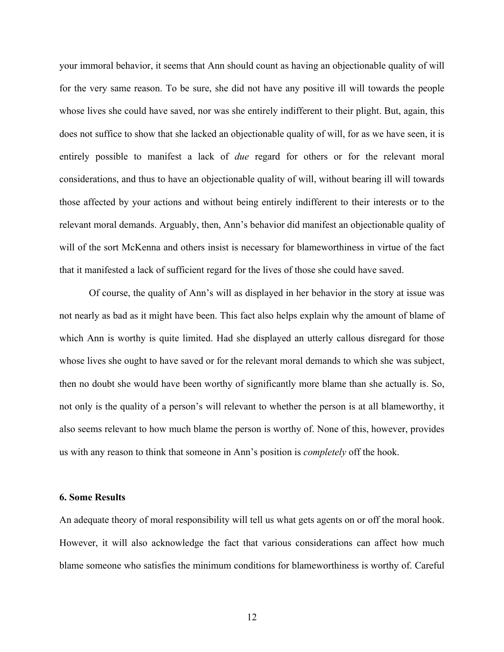your immoral behavior, it seems that Ann should count as having an objectionable quality of will for the very same reason. To be sure, she did not have any positive ill will towards the people whose lives she could have saved, nor was she entirely indifferent to their plight. But, again, this does not suffice to show that she lacked an objectionable quality of will, for as we have seen, it is entirely possible to manifest a lack of *due* regard for others or for the relevant moral considerations, and thus to have an objectionable quality of will, without bearing ill will towards those affected by your actions and without being entirely indifferent to their interests or to the relevant moral demands. Arguably, then, Ann's behavior did manifest an objectionable quality of will of the sort McKenna and others insist is necessary for blameworthiness in virtue of the fact that it manifested a lack of sufficient regard for the lives of those she could have saved.

Of course, the quality of Ann's will as displayed in her behavior in the story at issue was not nearly as bad as it might have been. This fact also helps explain why the amount of blame of which Ann is worthy is quite limited. Had she displayed an utterly callous disregard for those whose lives she ought to have saved or for the relevant moral demands to which she was subject, then no doubt she would have been worthy of significantly more blame than she actually is. So, not only is the quality of a person's will relevant to whether the person is at all blameworthy, it also seems relevant to how much blame the person is worthy of. None of this, however, provides us with any reason to think that someone in Ann's position is *completely* off the hook.

### **6. Some Results**

An adequate theory of moral responsibility will tell us what gets agents on or off the moral hook. However, it will also acknowledge the fact that various considerations can affect how much blame someone who satisfies the minimum conditions for blameworthiness is worthy of. Careful